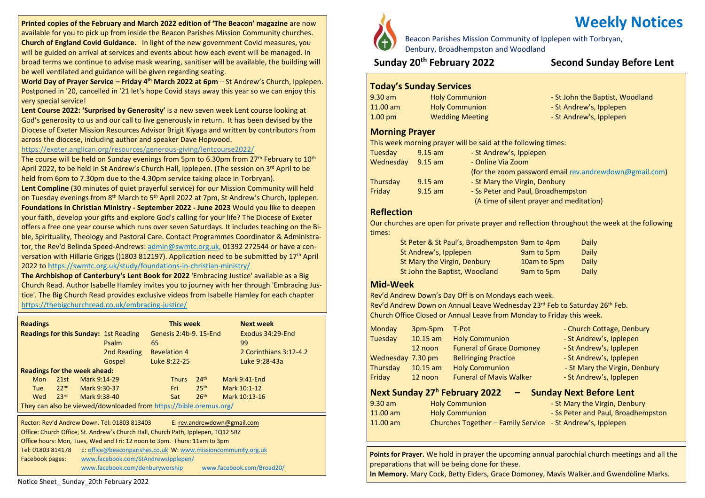**Printed copies of the February and March 2022 edition of 'The Beacon' magazine** are now available for you to pick up from inside the Beacon Parishes Mission Community churches. **Church of England Covid Guidance.** In light of the new government Covid measures, you will be guided on arrival at services and events about how each event will be managed. In broad terms we continue to advise mask wearing, sanitiser will be available, the building will be well ventilated and guidance will be given regarding seating.

**World Day of Prayer Service – Friday 4 th March 2022 at 6pm** – St Andrew's Church, Ipplepen. Postponed in '20, cancelled in '21 let's hope Covid stays away this year so we can enjoy this very special service!

**Lent Course 2022: 'Surprised by Generosity'** is a new seven week Lent course looking at God's generosity to us and our call to live generously in return. It has been devised by the Diocese of Exeter Mission Resources Advisor Brigit Kiyaga and written by contributors from across the diocese, including author and speaker Dave Hopwood.

#### <https://exeter.anglican.org/resources/generous-giving/lentcourse2022/>

The course will be held on Sunday evenings from 5pm to 6.30pm from  $27<sup>th</sup>$  February to  $10<sup>th</sup>$ April 2022, to be held in St Andrew's Church Hall, Ipplepen. (The session on 3<sup>rd</sup> April to be held from 6pm to 7.30pm due to the 4.30pm service taking place in Torbryan).

**Lent Compline** (30 minutes of quiet prayerful service) for our Mission Community will held on Tuesday evenings from 8<sup>th</sup> March to 5<sup>th</sup> April 2022 at 7pm, St Andrew's Church, Ipplepen. **Foundations in Christian Ministry - September 2022 - June 2023** Would you like to deepen your faith, develop your gifts and explore God's calling for your life? The Diocese of Exeter offers a free one year course which runs over seven Saturdays. It includes teaching on the Bible, Spirituality, Theology and Pastoral Care. Contact Programmes Coordinator & Administrator, the Rev'd Belinda Speed-Andrews: [admin@swmtc.org.uk,](mailto:admin@swmtc.org.uk) 01392 272544 or have a conversation with Hillarie Griggs ()1803 812197). Application need to be submitted by 17th April 2022 to <https://swmtc.org.uk/study/foundations-in-christian-ministry/>

**The Archbishop of Canterbury's Lent Book for 2022** 'Embracing Justice' available as a Big Church Read. Author Isabelle Hamley invites you to journey with her through 'Embracing Justice'. The Big Church Read provides exclusive videos from Isabelle Hamley for each chapter <https://thebigchurchread.co.uk/embracing-justice/>

| <b>Readings</b>                                                   |                  |              |             |                        | This week           |                  |                  | <b>Next week</b>       |
|-------------------------------------------------------------------|------------------|--------------|-------------|------------------------|---------------------|------------------|------------------|------------------------|
| <b>Readings for this Sunday: 1st Reading</b>                      |                  |              |             | Genesis 2:4b-9, 15-End |                     |                  | Exodus 34:29-End |                        |
|                                                                   |                  |              | Psalm       | 65                     |                     |                  |                  | 99                     |
|                                                                   |                  |              | 2nd Reading |                        | <b>Revelation 4</b> |                  |                  | 2 Corinthians 3:12-4.2 |
|                                                                   |                  |              | Gospel      |                        | Luke 8:22-25        |                  |                  | Luke 9:28-43a          |
| <b>Readings for the week ahead:</b>                               |                  |              |             |                        |                     |                  |                  |                        |
| Mon                                                               | 21st             | Mark 9:14-29 |             |                        | <b>Thurs</b>        | 24 <sup>th</sup> |                  | Mark 9:41-End          |
| <b>Tue</b>                                                        | 22 <sub>nd</sub> | Mark 9:30-37 |             |                        | Fri                 | 25 <sup>th</sup> |                  | Mark 10:1-12           |
| Wed                                                               | 23 <sup>rd</sup> | Mark 9:38-40 |             |                        | Sat                 | 26 <sup>th</sup> |                  | Mark 10:13-16          |
| They can also be viewed/downloaded from https://bible.oremus.org/ |                  |              |             |                        |                     |                  |                  |                        |

 Office hours: Mon, Tues, Wed and Fri: 12 noon to 3pm. Thurs: 11am to 3pm Rector: Rev'd Andrew Down. Tel: 01803 813403 E: [rev.andrewdown@gmail.com](mailto:rev.andrewdown@gmail.com) Office: Church Office, St. Andrew's Church Hall, Church Path, Ipplepen, TQ12 5RZ Tel: 01803 814178 E: [office@beaconparishes.co.uk](mailto:office@beaconparishes.co.uk) W: [www.missioncommunity.org.uk](http://www.missioncommunity.org.uk/) Facebook pages: [www.facebook.com/StAndrewsIpplepen/](http://www.facebook.com/StAndrewsIpplepen/) [www.facebook.com/denburyworship](http://www.facebook.com/denburyworship) [www.facebook.com/Broad20/](http://www.facebook.com/Broad20/)

Beacon Parishes Mission Community of Ipplepen with Torbryan, Denbury, Broadhempston and Woodland

# **Sunday 20th February 2022 Second Sunday Before Lent**

# **Today's Sunday Services**

| $9.30$ am            | <b>Holy Communion</b>  | - St John the Baptist, Woodland |
|----------------------|------------------------|---------------------------------|
| $11.00 \text{ am}$   | <b>Holy Communion</b>  | - St Andrew's, Ipplepen         |
| $1.00 \,\mathrm{pm}$ | <b>Wedding Meeting</b> | - St Andrew's, Ipplepen         |

# **Morning Prayer**

This week morning prayer will be said at the following times:

| Tuesday   | $9.15$ am | - St Andrew's, Ipplepen                                |
|-----------|-----------|--------------------------------------------------------|
| Wednesday | $9.15$ am | - Online Via Zoom                                      |
|           |           | (for the zoom password email rev.andrewdown@gmail.com) |
| Thursday  | $9.15$ am | - St Mary the Virgin, Denbury                          |
| Friday    | $9.15$ am | - Ss Peter and Paul, Broadhempston                     |
|           |           | (A time of silent prayer and meditation)               |

# **Reflection**

Our churches are open for private prayer and reflection throughout the week at the following times:

| St Peter & St Paul's, Broadhempston 9am to 4pm |             | Daily |
|------------------------------------------------|-------------|-------|
| St Andrew's, Ipplepen                          | 9am to 5pm  | Daily |
| St Mary the Virgin, Denbury                    | 10am to 5pm | Daily |
| St John the Baptist, Woodland                  | 9am to 5pm  | Daily |

# **Mid-Week**

Rev'd Andrew Down's Day Off is on Mondays each week.

Rev'd Andrew Down on Annual Leave Wednesday 23rd Feb to Saturday 26th Feb. Church Office Closed or Annual Leave from Monday to Friday this week.

| <b>Monday</b>     | 3pm-5pm    | T-Pot                                                      | - Church Cottage, Denbury          |
|-------------------|------------|------------------------------------------------------------|------------------------------------|
| Tuesday           | $10.15$ am | <b>Holy Communion</b>                                      | - St Andrew's, Ipplepen            |
|                   | 12 noon    | <b>Funeral of Grace Domoney</b>                            | - St Andrew's, Ipplepen            |
| Wednesday 7.30 pm |            | <b>Bellringing Practice</b>                                | - St Andrew's, Ipplepen            |
| Thursday          | $10.15$ am | <b>Holy Communion</b>                                      | - St Mary the Virgin, Denbury      |
| Friday            | 12 noon    | <b>Funeral of Mavis Walker</b>                             | - St Andrew's, Ipplepen            |
|                   |            | Next Sunday 27 <sup>h</sup> February 2022                  | <b>Sunday Next Before Lent</b>     |
| $9.30$ am         |            | <b>Holy Communion</b>                                      | - St Mary the Virgin, Denbury      |
| $11.00$ am        |            | <b>Holy Communion</b>                                      | - Ss Peter and Paul, Broadhempston |
| $11.00$ am        |            | Churches Together - Family Service - St Andrew's, Ipplepen |                                    |
|                   |            |                                                            |                                    |
|                   |            |                                                            |                                    |

**Points for Prayer.** We hold in prayer the upcoming annual parochial church meetings and all the preparations that will be being done for these.

**In Memory.** Mary Cock, Betty Elders, Grace Domoney, Mavis Walker.and Gwendoline Marks. **Points for Prayer.** We pray for Queen Elizabeth on this the 70th anniversary of her accession to

# **Weekly Notices**

Notice Sheet\_ Sunday\_20th February 2022